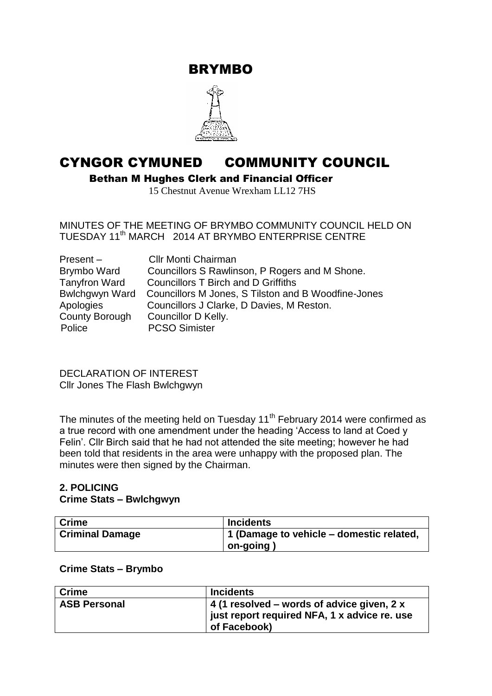BRYMBO



# CYNGOR CYMUNED COMMUNITY COUNCIL

Bethan M Hughes Clerk and Financial Officer

15 Chestnut Avenue Wrexham LL12 7HS

MINUTES OF THE MEETING OF BRYMBO COMMUNITY COUNCIL HELD ON TUESDAY 11<sup>th</sup> MARCH 2014 AT BRYMBO ENTERPRISE CENTRE

| $Present -$          | <b>CIIr Monti Chairman</b>                          |
|----------------------|-----------------------------------------------------|
| Brymbo Ward          | Councillors S Rawlinson, P Rogers and M Shone.      |
| <b>Tanyfron Ward</b> | <b>Councillors T Birch and D Griffiths</b>          |
| Bwlchgwyn Ward       | Councillors M Jones, S Tilston and B Woodfine-Jones |
| Apologies            | Councillors J Clarke, D Davies, M Reston.           |
| County Borough       | Councillor D Kelly.                                 |
| Police               | <b>PCSO Simister</b>                                |

DECLARATION OF INTEREST Cllr Jones The Flash Bwlchgwyn

The minutes of the meeting held on Tuesday  $11<sup>th</sup>$  February 2014 were confirmed as a true record with one amendment under the heading 'Access to land at Coed y Felin'. Cllr Birch said that he had not attended the site meeting; however he had been told that residents in the area were unhappy with the proposed plan. The minutes were then signed by the Chairman.

# **2. POLICING Crime Stats – Bwlchgwyn**

| <b>Crime</b>           | <b>Incidents</b>                         |
|------------------------|------------------------------------------|
| <b>Criminal Damage</b> | 1 (Damage to vehicle – domestic related, |
|                        | on-going                                 |

# **Crime Stats – Brymbo**

| ∣ Crime             | <b>Incidents</b>                                                                                           |
|---------------------|------------------------------------------------------------------------------------------------------------|
| <b>ASB Personal</b> | 4 (1 resolved – words of advice given, 2 x<br>just report required NFA, 1 x advice re. use<br>of Facebook) |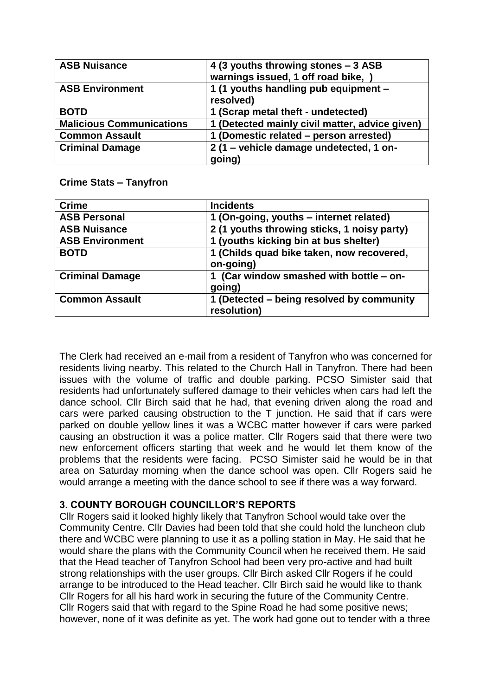| <b>ASB Nuisance</b>             | 4 (3 youths throwing stones - 3 ASB<br>warnings issued, 1 off road bike, ) |
|---------------------------------|----------------------------------------------------------------------------|
| <b>ASB Environment</b>          | 1 (1 youths handling pub equipment -<br>resolved)                          |
| <b>BOTD</b>                     | 1 (Scrap metal theft - undetected)                                         |
| <b>Malicious Communications</b> | 1 (Detected mainly civil matter, advice given)                             |
| <b>Common Assault</b>           | 1 (Domestic related - person arrested)                                     |
| <b>Criminal Damage</b>          | 2 (1 - vehicle damage undetected, 1 on-                                    |
|                                 | going)                                                                     |

# **Crime Stats – Tanyfron**

| <b>Crime</b>           | <b>Incidents</b>                                         |
|------------------------|----------------------------------------------------------|
| <b>ASB Personal</b>    | 1 (On-going, youths – internet related)                  |
| <b>ASB Nuisance</b>    | 2 (1 youths throwing sticks, 1 noisy party)              |
| <b>ASB Environment</b> | 1 (youths kicking bin at bus shelter)                    |
| <b>BOTD</b>            | 1 (Childs quad bike taken, now recovered,<br>on-going)   |
| <b>Criminal Damage</b> | 1 (Car window smashed with bottle - on-<br>going)        |
| <b>Common Assault</b>  | 1 (Detected – being resolved by community<br>resolution) |

The Clerk had received an e-mail from a resident of Tanyfron who was concerned for residents living nearby. This related to the Church Hall in Tanyfron. There had been issues with the volume of traffic and double parking. PCSO Simister said that residents had unfortunately suffered damage to their vehicles when cars had left the dance school. Cllr Birch said that he had, that evening driven along the road and cars were parked causing obstruction to the T junction. He said that if cars were parked on double yellow lines it was a WCBC matter however if cars were parked causing an obstruction it was a police matter. Cllr Rogers said that there were two new enforcement officers starting that week and he would let them know of the problems that the residents were facing. PCSO Simister said he would be in that area on Saturday morning when the dance school was open. Cllr Rogers said he would arrange a meeting with the dance school to see if there was a way forward.

# **3. COUNTY BOROUGH COUNCILLOR'S REPORTS**

Cllr Rogers said it looked highly likely that Tanyfron School would take over the Community Centre. Cllr Davies had been told that she could hold the luncheon club there and WCBC were planning to use it as a polling station in May. He said that he would share the plans with the Community Council when he received them. He said that the Head teacher of Tanyfron School had been very pro-active and had built strong relationships with the user groups. Cllr Birch asked Cllr Rogers if he could arrange to be introduced to the Head teacher. Cllr Birch said he would like to thank Cllr Rogers for all his hard work in securing the future of the Community Centre. Cllr Rogers said that with regard to the Spine Road he had some positive news; however, none of it was definite as yet. The work had gone out to tender with a three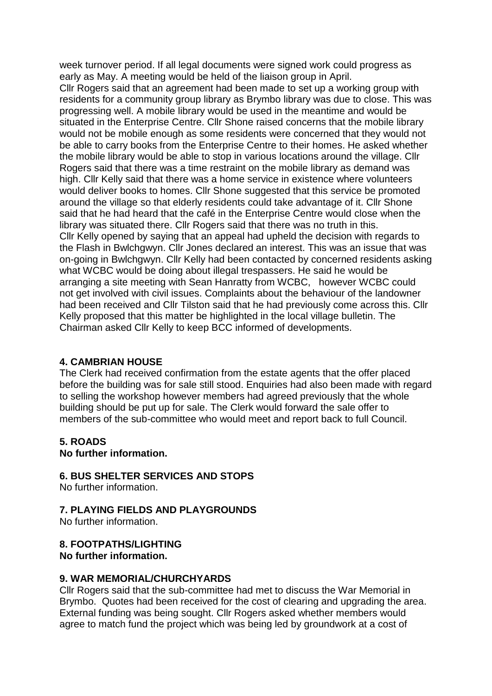week turnover period. If all legal documents were signed work could progress as early as May. A meeting would be held of the liaison group in April.

Cllr Rogers said that an agreement had been made to set up a working group with residents for a community group library as Brymbo library was due to close. This was progressing well. A mobile library would be used in the meantime and would be situated in the Enterprise Centre. Cllr Shone raised concerns that the mobile library would not be mobile enough as some residents were concerned that they would not be able to carry books from the Enterprise Centre to their homes. He asked whether the mobile library would be able to stop in various locations around the village. Cllr Rogers said that there was a time restraint on the mobile library as demand was high. Cllr Kelly said that there was a home service in existence where volunteers would deliver books to homes. Cllr Shone suggested that this service be promoted around the village so that elderly residents could take advantage of it. Cllr Shone said that he had heard that the café in the Enterprise Centre would close when the library was situated there. Cllr Rogers said that there was no truth in this. Cllr Kelly opened by saying that an appeal had upheld the decision with regards to the Flash in Bwlchgwyn. Cllr Jones declared an interest. This was an issue that was on-going in Bwlchgwyn. Cllr Kelly had been contacted by concerned residents asking what WCBC would be doing about illegal trespassers. He said he would be arranging a site meeting with Sean Hanratty from WCBC, however WCBC could not get involved with civil issues. Complaints about the behaviour of the landowner had been received and Cllr Tilston said that he had previously come across this. Cllr Kelly proposed that this matter be highlighted in the local village bulletin. The Chairman asked Cllr Kelly to keep BCC informed of developments.

# **4. CAMBRIAN HOUSE**

The Clerk had received confirmation from the estate agents that the offer placed before the building was for sale still stood. Enquiries had also been made with regard to selling the workshop however members had agreed previously that the whole building should be put up for sale. The Clerk would forward the sale offer to members of the sub-committee who would meet and report back to full Council.

# **5. ROADS**

**No further information.** 

# **6. BUS SHELTER SERVICES AND STOPS**

No further information.

# **7. PLAYING FIELDS AND PLAYGROUNDS**

No further information.

#### **8. FOOTPATHS/LIGHTING No further information.**

# **9. WAR MEMORIAL/CHURCHYARDS**

Cllr Rogers said that the sub-committee had met to discuss the War Memorial in Brymbo. Quotes had been received for the cost of clearing and upgrading the area. External funding was being sought. Cllr Rogers asked whether members would agree to match fund the project which was being led by groundwork at a cost of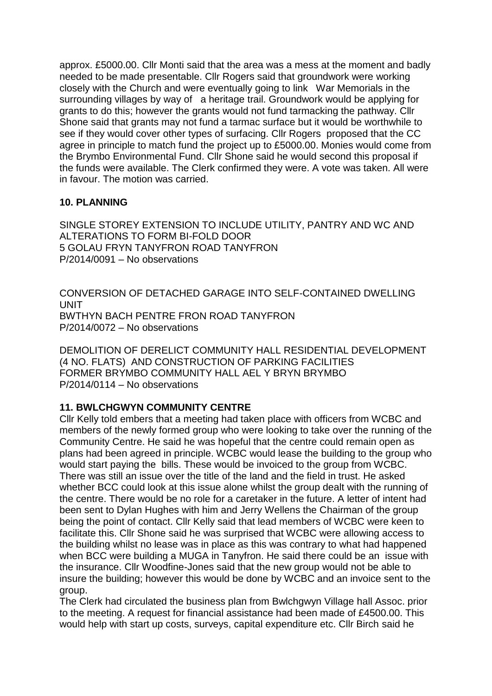approx. £5000.00. Cllr Monti said that the area was a mess at the moment and badly needed to be made presentable. Cllr Rogers said that groundwork were working closely with the Church and were eventually going to link War Memorials in the surrounding villages by way of a heritage trail. Groundwork would be applying for grants to do this; however the grants would not fund tarmacking the pathway. Cllr Shone said that grants may not fund a tarmac surface but it would be worthwhile to see if they would cover other types of surfacing. Cllr Rogers proposed that the CC agree in principle to match fund the project up to £5000.00. Monies would come from the Brymbo Environmental Fund. Cllr Shone said he would second this proposal if the funds were available. The Clerk confirmed they were. A vote was taken. All were in favour. The motion was carried.

# **10. PLANNING**

SINGLE STOREY EXTENSION TO INCLUDE UTILITY, PANTRY AND WC AND ALTERATIONS TO FORM BI-FOLD DOOR 5 GOLAU FRYN TANYFRON ROAD TANYFRON P/2014/0091 – No observations

CONVERSION OF DETACHED GARAGE INTO SELF-CONTAINED DWELLING **UNIT** BWTHYN BACH PENTRE FRON ROAD TANYFRON P/2014/0072 – No observations

DEMOLITION OF DERELICT COMMUNITY HALL RESIDENTIAL DEVELOPMENT (4 NO. FLATS) AND CONSTRUCTION OF PARKING FACILITIES FORMER BRYMBO COMMUNITY HALL AEL Y BRYN BRYMBO P/2014/0114 – No observations

# **11. BWLCHGWYN COMMUNITY CENTRE**

Cllr Kelly told embers that a meeting had taken place with officers from WCBC and members of the newly formed group who were looking to take over the running of the Community Centre. He said he was hopeful that the centre could remain open as plans had been agreed in principle. WCBC would lease the building to the group who would start paying the bills. These would be invoiced to the group from WCBC. There was still an issue over the title of the land and the field in trust. He asked whether BCC could look at this issue alone whilst the group dealt with the running of the centre. There would be no role for a caretaker in the future. A letter of intent had been sent to Dylan Hughes with him and Jerry Wellens the Chairman of the group being the point of contact. Cllr Kelly said that lead members of WCBC were keen to facilitate this. Cllr Shone said he was surprised that WCBC were allowing access to the building whilst no lease was in place as this was contrary to what had happened when BCC were building a MUGA in Tanyfron. He said there could be an issue with the insurance. Cllr Woodfine-Jones said that the new group would not be able to insure the building; however this would be done by WCBC and an invoice sent to the group.

The Clerk had circulated the business plan from Bwlchgwyn Village hall Assoc. prior to the meeting. A request for financial assistance had been made of £4500.00. This would help with start up costs, surveys, capital expenditure etc. Cllr Birch said he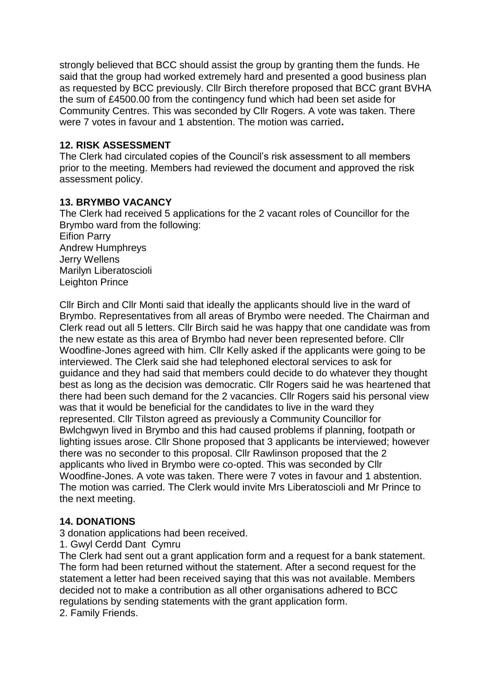strongly believed that BCC should assist the group by granting them the funds. He said that the group had worked extremely hard and presented a good business plan as requested by BCC previously. Cllr Birch therefore proposed that BCC grant BVHA the sum of £4500.00 from the contingency fund which had been set aside for Community Centres. This was seconded by Cllr Rogers. A vote was taken. There were 7 votes in favour and 1 abstention. The motion was carried**.** 

# **12. RISK ASSESSMENT**

The Clerk had circulated copies of the Council's risk assessment to all members prior to the meeting. Members had reviewed the document and approved the risk assessment policy.

# **13. BRYMBO VACANCY**

The Clerk had received 5 applications for the 2 vacant roles of Councillor for the Brymbo ward from the following: Eifion Parry Andrew Humphreys Jerry Wellens Marilyn Liberatoscioli Leighton Prince

Cllr Birch and Cllr Monti said that ideally the applicants should live in the ward of Brymbo. Representatives from all areas of Brymbo were needed. The Chairman and Clerk read out all 5 letters. Cllr Birch said he was happy that one candidate was from the new estate as this area of Brymbo had never been represented before. Cllr Woodfine-Jones agreed with him. Cllr Kelly asked if the applicants were going to be interviewed. The Clerk said she had telephoned electoral services to ask for guidance and they had said that members could decide to do whatever they thought best as long as the decision was democratic. Cllr Rogers said he was heartened that there had been such demand for the 2 vacancies. Cllr Rogers said his personal view was that it would be beneficial for the candidates to live in the ward they represented. Cllr Tilston agreed as previously a Community Councillor for Bwlchgwyn lived in Brymbo and this had caused problems if planning, footpath or lighting issues arose. Cllr Shone proposed that 3 applicants be interviewed; however there was no seconder to this proposal. Cllr Rawlinson proposed that the 2 applicants who lived in Brymbo were co-opted. This was seconded by Cllr Woodfine-Jones. A vote was taken. There were 7 votes in favour and 1 abstention. The motion was carried. The Clerk would invite Mrs Liberatoscioli and Mr Prince to the next meeting.

# **14. DONATIONS**

3 donation applications had been received.

1. Gwyl Cerdd Dant Cymru

The Clerk had sent out a grant application form and a request for a bank statement. The form had been returned without the statement. After a second request for the statement a letter had been received saying that this was not available. Members decided not to make a contribution as all other organisations adhered to BCC regulations by sending statements with the grant application form.

2. Family Friends.